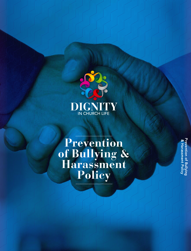

**Prevention of Bullying & Harassment Policy**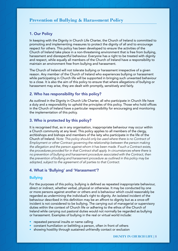# 1. Our Policy

In keeping with the Dignity in Church Life Charter, the Church of Ireland is committed to promoting and implementing measures to protect the dignity of all and to encourage respect for others. This policy has been developed to ensure the activities of the Church of Ireland take place in a non-threatening environment that is free from bullying, harassment and disrespectful behaviour. Everyone has a right to be treated with dignity and respect, while equally all members of the Church of Ireland have a responsibility to maintain an environment free from bullying and harassment.

The Church of Ireland will not tolerate bullying or harassment irrespective of a given reason. Any member of the Church of Ireland who experiences bullying or harassment while participating in Church life will be supported in bringing such unwanted behaviour to a close. It is also the aim of this policy to ensure that where allegations of bullying or harassment may arise, they are dealt with promptly, sensitively and fairly.

## 2. Who has responsibility for this policy?

As outlined in the Dignity in Church Life Charter, all who participate in Church life have a duty and a responsibility to uphold the principles of this policy. Those who hold offices in the Church of Ireland have a particular responsibility for encouraging and monitoring the implementation of this policy.

# 3. Who is protected by this policy?

It is recognised that, as in any organisation, inappropriate behaviour may occur within a Church community at any level. This policy applies to all members of the clergy, archbishops and bishops and members of the laity who participate in the life of the Church of Ireland. *Note: This policy should only be used where there is no Contract of Employment or other Contract governing the relationship between the person making the allegation and the person against whom it has been made. If such a Contract exists, the procedures provided for in that Contract shall apply. In circumstances where there is no prevention of bullying and harassment procedure associated with the Contract, then the prevention of bullying and harassment procedure as outlined in this policy may be adopted, subject to the agreement of all parties to that Contract.*

## 4. What is 'Bullying' and 'Harassment'?

### Bullying

For the purposes of this policy, bullying is defined as repeated inappropriate behaviour, direct or indirect, whether verbal, physical or otherwise. It may be conducted by one or more persons against another or others and is behaviour which could reasonably be regarded as undermining the individual's right to dignity. An isolated incident of the behaviour described in this definition may be an affront to dignity but as a once-off incident is not considered to be bullying. The carrying out of managerial or supervisory duties within the context of Church life or adhering to the ethos of the Church of Ireland while carrying out pastoral duties would not normally be regarded as bullying or harassment. Examples of bullying in the real or virtual world include:

- repeated personal insults or name calling
- constant humiliation or belittling a person, often in front of others
- showing hostility through sustained unfriendly contact or exclusion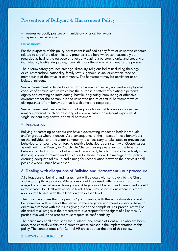# **Prevention of Bullying & Harassment Policy**

- aggressive bodily posture or intimidatory physical behaviour
- repeated verbal abuse.

#### Harassment

For the purposes of this policy, harassment is defined as any form of unwanted conduct related to any of the discriminatory grounds listed here which can reasonably be regarded as having the purpose or effect of violating a person's dignity and creating an intimidating, hostile, degrading, humiliating or offensive environment for the person.

The discriminatory grounds are: age, disability, religious belief (including theology or churchmanship), nationality, family status, gender, sexual orientation, race or membership of the traveller community. The harassment may be persistent or an isolated incident.

Sexual harassment is defined as any form of unwanted verbal, non-verbal or physical conduct of a sexual nature which has the purpose or effect of violating a person's dignity and creating an intimidating, hostile, degrading, humiliating or offensive environment for the person. It is the unwanted nature of sexual harassment which distinguishes it from behaviour that is welcome and reciprocal.

Sexual harassment can take the form of requests for sexual favours or suggestive remarks, physical touching/gesturing of a sexual nature or indecent exposure. A single incident may constitute sexual harassment.

## 5. Prevention

Bullying or harassing behaviour can have a devastating impact on both individuals and/or groups where it occurs. As a consequence of the impact of these behaviours on the individual and the wider community it is necessary to take steps to prevent such behaviours, for example: reinforcing positive behaviours consistent with Gospel values as outlined in the Dignity in Church Life Charter; raising awareness of the types of behaviours which constitute bullying and harassment; handling conflict effectively when it arises; providing training and education for those involved in managing this policy; ensuring adequate follow up and aiming for reconciliation between the parties if at all possible where issues have arisen.

#### 6. Dealing with allegations of Bullying and Harassment - our procedure

All allegations of bullying and harassment will be dealt with sensitively by the Church and as promptly as possible. Allegations should be raised within six months of the alleged offensive behaviour taking place. Allegations of bullying and harassment should, in most cases, be dealt with at parish level. There may be occasions where it is more appropriate to deal with the allegation at diocesan level.

The principle applies that the persons/group dealing with the accusation should not be connected with either of the parties to the allegation and therefore should have no direct involvement with the issues giving rise to the complaint. Fair procedures will be observed at all stages in the process with due respect for the rights of all parties. All parties involved in the process must respect its confidentiality.

The parish may at all times seek the guidance and advice of Central HR who has been appointed centrally within the Church to act as advisor in the implementation of this policy. The contact details for Central HR are set out at the end of this policy.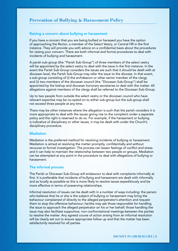# **Prevention of Bullying & Harassment Policy**

### Raising a concern about bullying or harassment

If you have a concern that you are being bullied or harassed you have the option of approaching the Rector, a member of the Select Vestry, or Central HR in the first instance. They will provide you with advice on a confidential basis about the procedures for raising your concern. There are both informal and formal procedures to deal with incidents of bullying and harassment.

A parish sub-group (the "Parish Sub-Group") of three members of the select vestry will be appointed by the select vestry to deal with the issue in the first instance. In the event the Parish Sub-Group considers the issues are such that it should be dealt with at diocesan level, the Parish Sub-Group may refer the issue to the diocese. In that event, a sub-group consisting of (i) the archdeacon or other senior member of the clergy and (ii) two members of the diocesan council (the "Diocesan Sub-Group") shall be appointed by the bishop and diocesan honorary secretaries to deal with the matter. All allegations against members of the clergy shall be referred to the Diocesan Sub-Group.

Up to two people from outside the select vestry or the diocesan council who have relevant expertise may be co-opted on to either sub-group but the sub-group shall not exceed three people at any time.

There may be other instances where the allegation is such that the parish considers it is more appropriate to deal with the issues giving rise to the complaint under a separate policy and the right is reserved to do so. For example, if the harassment or bullying is indicative of disciplinary or other issues, it may be dealt with under the Church's disciplinary procedure.

### **Mediation**

Mediation is the preferred method for resolving incidents of bullying or harassment. Mediation is aimed at resolving the matter promptly, confidentially and without recourse to formal investigation. The process can lessen feelings of conflict and stress and it can help to maintain the relationship between two people or groups. Mediation can be attempted at any point in the procedure to deal with allegations of bullying or harassment.

#### The informal process

The Parish or Diocesan Sub-Group will endeavour to deal with complaints informally at first. It is preferable that incidents of bullying and harassment are dealt with informally and as locally as possible as this is more likely to resolve issues expeditiously and be more effective in terms of preserving relationships.

Informal resolution of issues can be dealt with in a number of ways including: the person who believes that he or she is the subject of bullying or harassment may bring the behaviour complained of directly to the alleged perpetrator's attention and request them to stop the offensive behaviour; he/she may ask those responsible for handling the issue to approach the alleged perpetrator on his or her behalf; those handling the issue may also facilitate supportive, non-confrontational meetings between the parties to resolve the matter. Any agreed course of action arising from an informal resolution will be clearly set out to ensure appropriate follow up and that the matter has been satisfactorily resolved for all parties.